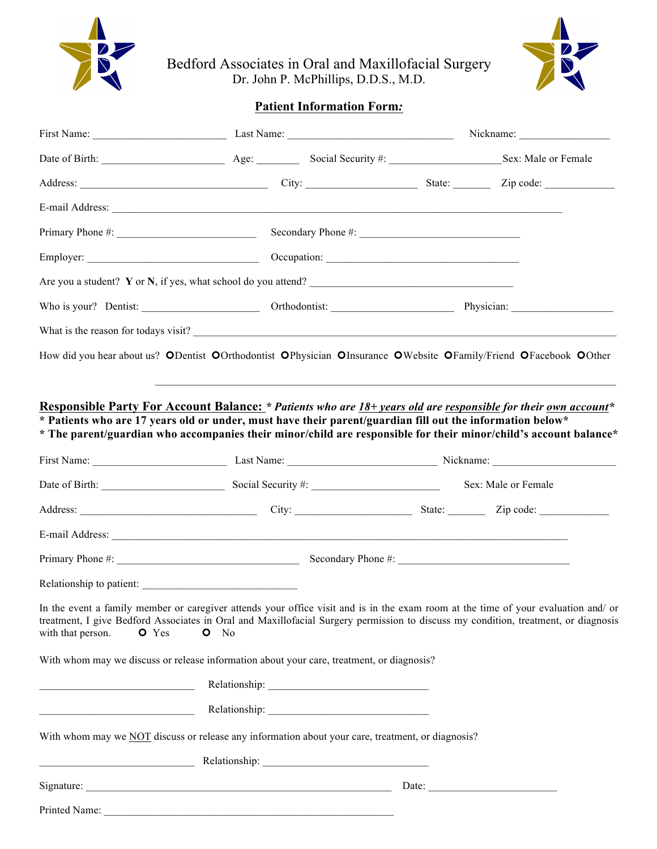

Bedford Associates in Oral and Maxillofacial Surgery Dr. John P. McPhillips, D.D.S., M.D.



# **Patient Information Form***:*

| Date of Birth: Sex: Male or Female Age: Social Security #: Social Security #: Sex: Male or Female                                                                                                                                                                                                                |  |                       |  |  |
|------------------------------------------------------------------------------------------------------------------------------------------------------------------------------------------------------------------------------------------------------------------------------------------------------------------|--|-----------------------|--|--|
| Address: <u>City:</u> City: City: State: City: City: City: City: City: City: City: City: City: City: City: City: City: City: City: City: City: City: City: City: City: City: City: City: City: City: City: City: City: City: City:                                                                               |  |                       |  |  |
|                                                                                                                                                                                                                                                                                                                  |  |                       |  |  |
|                                                                                                                                                                                                                                                                                                                  |  |                       |  |  |
|                                                                                                                                                                                                                                                                                                                  |  |                       |  |  |
| Are you a student? Y or N, if yes, what school do you attend?                                                                                                                                                                                                                                                    |  |                       |  |  |
|                                                                                                                                                                                                                                                                                                                  |  |                       |  |  |
|                                                                                                                                                                                                                                                                                                                  |  |                       |  |  |
| How did you hear about us? ODentist OOrthodontist OPhysician OInsurance OWebsite OFamily/Friend OFacebook OOther                                                                                                                                                                                                 |  |                       |  |  |
|                                                                                                                                                                                                                                                                                                                  |  |                       |  |  |
| Responsible Party For Account Balance: * Patients who are 18+ years old are responsible for their own account*                                                                                                                                                                                                   |  |                       |  |  |
| * Patients who are 17 years old or under, must have their parent/guardian fill out the information below*<br>* The parent/guardian who accompanies their minor/child are responsible for their minor/child's account balance*                                                                                    |  |                       |  |  |
|                                                                                                                                                                                                                                                                                                                  |  |                       |  |  |
|                                                                                                                                                                                                                                                                                                                  |  |                       |  |  |
| Date of Birth: Social Security #: Social Security #: Sex: Male or Female                                                                                                                                                                                                                                         |  |                       |  |  |
|                                                                                                                                                                                                                                                                                                                  |  |                       |  |  |
|                                                                                                                                                                                                                                                                                                                  |  |                       |  |  |
|                                                                                                                                                                                                                                                                                                                  |  |                       |  |  |
|                                                                                                                                                                                                                                                                                                                  |  |                       |  |  |
| In the event a family member or caregiver attends your office visit and is in the exam room at the time of your evaluation and/ or<br>treatment, I give Bedford Associates in Oral and Maxillofacial Surgery permission to discuss my condition, treatment, or diagnosis<br>with that person.<br>O Yes<br>$O$ No |  |                       |  |  |
| With whom may we discuss or release information about your care, treatment, or diagnosis?                                                                                                                                                                                                                        |  |                       |  |  |
| <u> 1989 - Johann Barn, fransk politik (</u>                                                                                                                                                                                                                                                                     |  |                       |  |  |
|                                                                                                                                                                                                                                                                                                                  |  |                       |  |  |
| With whom may we NOT discuss or release any information about your care, treatment, or diagnosis?                                                                                                                                                                                                                |  |                       |  |  |
| Relationship: Network of the Community of the Community of the Community of the Community of the Community of the Community of the Community of the Community of the Community of the Community of the Community of the Commun                                                                                   |  |                       |  |  |
|                                                                                                                                                                                                                                                                                                                  |  | Date: $\qquad \qquad$ |  |  |
|                                                                                                                                                                                                                                                                                                                  |  |                       |  |  |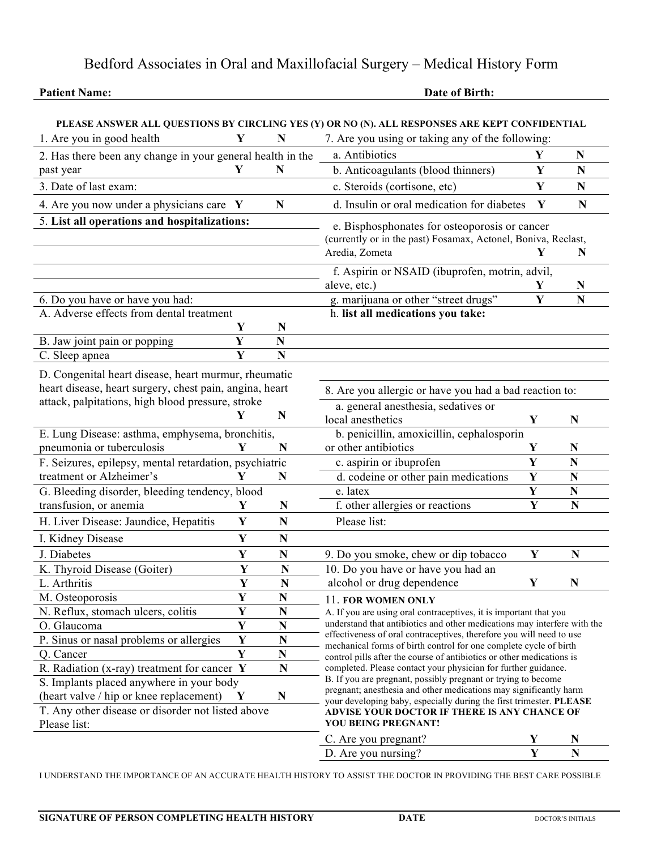# Bedford Associates in Oral and Maxillofacial Surgery – Medical History Form

### **Patient Name:** Date of Birth: Date of Birth:

|                                                                                                         |                         |                                                                                                                                          | PLEASE ANSWER ALL QUESTIONS BY CIRCLING YES (Y) OR NO (N). ALL RESPONSES ARE KEPT CONFIDENTIAL                                            |             |                         |
|---------------------------------------------------------------------------------------------------------|-------------------------|------------------------------------------------------------------------------------------------------------------------------------------|-------------------------------------------------------------------------------------------------------------------------------------------|-------------|-------------------------|
| 1. Are you in good health                                                                               | Y                       | N                                                                                                                                        | 7. Are you using or taking any of the following:                                                                                          |             |                         |
| 2. Has there been any change in your general health in the                                              |                         |                                                                                                                                          | a. Antibiotics                                                                                                                            | Y           | N                       |
| past year                                                                                               | Y                       | N                                                                                                                                        | b. Anticoagulants (blood thinners)                                                                                                        | Y           | $\mathbf N$             |
| 3. Date of last exam:                                                                                   |                         |                                                                                                                                          | c. Steroids (cortisone, etc)                                                                                                              | Y           | $\mathbf N$             |
| 4. Are you now under a physicians care $Y$                                                              |                         | ${\bf N}$                                                                                                                                | d. Insulin or oral medication for diabetes                                                                                                | Y           | $\mathbf N$             |
| 5. List all operations and hospitalizations:                                                            |                         |                                                                                                                                          | e. Bisphosphonates for osteoporosis or cancer                                                                                             |             |                         |
|                                                                                                         |                         |                                                                                                                                          | (currently or in the past) Fosamax, Actonel, Boniva, Reclast,                                                                             |             |                         |
|                                                                                                         |                         |                                                                                                                                          | Aredia, Zometa                                                                                                                            | Y           | N                       |
|                                                                                                         |                         |                                                                                                                                          | f. Aspirin or NSAID (ibuprofen, motrin, advil,                                                                                            |             |                         |
|                                                                                                         |                         |                                                                                                                                          | aleve, etc.)                                                                                                                              | Y           | N                       |
| 6. Do you have or have you had:                                                                         |                         |                                                                                                                                          | g. marijuana or other "street drugs"                                                                                                      | $\mathbf Y$ | $\mathbf N$             |
| A. Adverse effects from dental treatment                                                                |                         | h. list all medications you take:                                                                                                        |                                                                                                                                           |             |                         |
|                                                                                                         | Y                       | N                                                                                                                                        |                                                                                                                                           |             |                         |
| B. Jaw joint pain or popping                                                                            | Y                       | $\mathbf N$                                                                                                                              |                                                                                                                                           |             |                         |
| C. Sleep apnea                                                                                          | Y                       | N                                                                                                                                        |                                                                                                                                           |             |                         |
| D. Congenital heart disease, heart murmur, rheumatic                                                    |                         |                                                                                                                                          |                                                                                                                                           |             |                         |
| heart disease, heart surgery, chest pain, angina, heart                                                 |                         |                                                                                                                                          | 8. Are you allergic or have you had a bad reaction to:                                                                                    |             |                         |
| attack, palpitations, high blood pressure, stroke                                                       |                         |                                                                                                                                          | a. general anesthesia, sedatives or                                                                                                       |             |                         |
|                                                                                                         | Y                       | $\mathbf N$                                                                                                                              | local anesthetics                                                                                                                         | Y           | $\mathbf N$             |
| E. Lung Disease: asthma, emphysema, bronchitis,                                                         |                         |                                                                                                                                          | b. penicillin, amoxicillin, cephalosporin                                                                                                 |             |                         |
| pneumonia or tuberculosis                                                                               |                         | N                                                                                                                                        | or other antibiotics                                                                                                                      | Y           | N                       |
| F. Seizures, epilepsy, mental retardation, psychiatric                                                  |                         |                                                                                                                                          | c. aspirin or ibuprofen                                                                                                                   | Y           | $\mathbf N$             |
| treatment or Alzheimer's                                                                                | Y                       | N                                                                                                                                        | d. codeine or other pain medications                                                                                                      | Y           | $\mathbf N$             |
| G. Bleeding disorder, bleeding tendency, blood                                                          |                         |                                                                                                                                          | e. latex                                                                                                                                  | Y           | $\mathbf N$             |
| transfusion, or anemia                                                                                  | Y                       | $\mathbf N$                                                                                                                              | f. other allergies or reactions                                                                                                           | Y           | $\mathbf N$             |
| H. Liver Disease: Jaundice, Hepatitis                                                                   | Y                       | N                                                                                                                                        | Please list:                                                                                                                              |             |                         |
| I. Kidney Disease                                                                                       | Y                       | $\mathbf N$                                                                                                                              |                                                                                                                                           |             |                         |
| J. Diabetes                                                                                             | Y                       | N                                                                                                                                        | 9. Do you smoke, chew or dip tobacco                                                                                                      | Y           | N                       |
| K. Thyroid Disease (Goiter)                                                                             | Y                       | N                                                                                                                                        | 10. Do you have or have you had an                                                                                                        |             |                         |
| L. Arthritis                                                                                            | $\overline{\mathbf{Y}}$ | N                                                                                                                                        | alcohol or drug dependence                                                                                                                | Y           | N                       |
| M. Osteoporosis                                                                                         | Y                       | N                                                                                                                                        | 11. FOR WOMEN ONLY                                                                                                                        |             |                         |
| N. Reflux, stomach ulcers, colitis                                                                      | $\overline{\mathbf{Y}}$ | $\mathbf N$                                                                                                                              | A. If you are using oral contraceptives, it is important that you                                                                         |             |                         |
| O. Glaucoma                                                                                             | Y                       | N                                                                                                                                        | understand that antibiotics and other medications may interfere with the                                                                  |             |                         |
| P. Sinus or nasal problems or allergies                                                                 | Y                       | $\mathbf N$                                                                                                                              | effectiveness of oral contraceptives, therefore you will need to use<br>mechanical forms of birth control for one complete cycle of birth |             |                         |
| Q. Cancer                                                                                               | Y                       | $\mathbf N$                                                                                                                              | control pills after the course of antibiotics or other medications is                                                                     |             |                         |
| R. Radiation (x-ray) treatment for cancer $Y$                                                           |                         | N                                                                                                                                        | completed. Please contact your physician for further guidance.                                                                            |             |                         |
| S. Implants placed anywhere in your body<br>(heart valve / hip or knee replacement)<br>$\mathbf N$<br>Y |                         | B. If you are pregnant, possibly pregnant or trying to become                                                                            |                                                                                                                                           |             |                         |
|                                                                                                         |                         | pregnant; anesthesia and other medications may significantly harm<br>your developing baby, especially during the first trimester. PLEASE |                                                                                                                                           |             |                         |
| T. Any other disease or disorder not listed above                                                       |                         |                                                                                                                                          | ADVISE YOUR DOCTOR IF THERE IS ANY CHANCE OF                                                                                              |             |                         |
| Please list:                                                                                            |                         |                                                                                                                                          | YOU BEING PREGNANT!                                                                                                                       |             |                         |
|                                                                                                         |                         |                                                                                                                                          | C. Are you pregnant?                                                                                                                      |             |                         |
|                                                                                                         |                         |                                                                                                                                          | D. Are you nursing?                                                                                                                       | Y           | $\overline{\mathbf{N}}$ |

I UNDERSTAND THE IMPORTANCE OF AN ACCURATE HEALTH HISTORY TO ASSIST THE DOCTOR IN PROVIDING THE BEST CARE POSSIBLE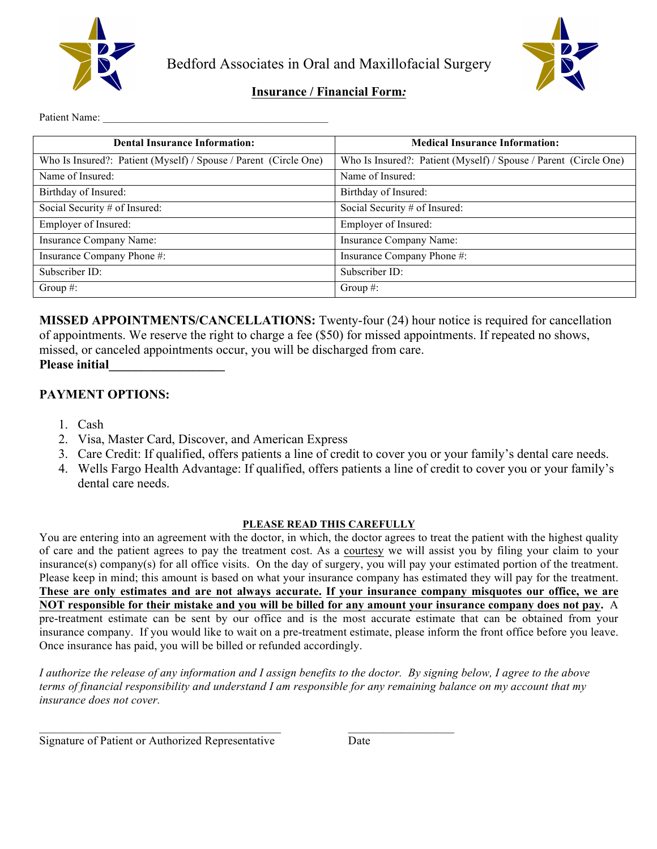

Bedford Associates in Oral and Maxillofacial Surgery



# **Insurance / Financial Form***:*

Patient Name:

| <b>Dental Insurance Information:</b>                             | <b>Medical Insurance Information:</b>                            |
|------------------------------------------------------------------|------------------------------------------------------------------|
| Who Is Insured?: Patient (Myself) / Spouse / Parent (Circle One) | Who Is Insured?: Patient (Myself) / Spouse / Parent (Circle One) |
| Name of Insured:                                                 | Name of Insured:                                                 |
| Birthday of Insured:                                             | Birthday of Insured:                                             |
| Social Security # of Insured:                                    | Social Security # of Insured:                                    |
| Employer of Insured:                                             | Employer of Insured:                                             |
| Insurance Company Name:                                          | Insurance Company Name:                                          |
| Insurance Company Phone #:                                       | Insurance Company Phone #:                                       |
| Subscriber ID:                                                   | Subscriber ID:                                                   |
| Group $#$ :                                                      | Group $#$ :                                                      |

**MISSED APPOINTMENTS/CANCELLATIONS:** Twenty-four (24) hour notice is required for cancellation of appointments. We reserve the right to charge a fee (\$50) for missed appointments. If repeated no shows, missed, or canceled appointments occur, you will be discharged from care.

#### **Please initial\_\_\_\_\_\_\_\_\_\_\_\_\_\_\_\_\_\_**

## **PAYMENT OPTIONS:**

- 1. Cash
- 2. Visa, Master Card, Discover, and American Express
- 3. Care Credit: If qualified, offers patients a line of credit to cover you or your family's dental care needs.
- 4. Wells Fargo Health Advantage: If qualified, offers patients a line of credit to cover you or your family's dental care needs.

#### **PLEASE READ THIS CAREFULLY**

You are entering into an agreement with the doctor, in which, the doctor agrees to treat the patient with the highest quality of care and the patient agrees to pay the treatment cost. As a courtesy we will assist you by filing your claim to your insurance(s) company(s) for all office visits. On the day of surgery, you will pay your estimated portion of the treatment. Please keep in mind; this amount is based on what your insurance company has estimated they will pay for the treatment. **These are only estimates and are not always accurate. If your insurance company misquotes our office, we are NOT responsible for their mistake and you will be billed for any amount your insurance company does not pay.** A pre-treatment estimate can be sent by our office and is the most accurate estimate that can be obtained from your insurance company. If you would like to wait on a pre-treatment estimate, please inform the front office before you leave. Once insurance has paid, you will be billed or refunded accordingly.

*I authorize the release of any information and I assign benefits to the doctor. By signing below, I agree to the above terms of financial responsibility and understand I am responsible for any remaining balance on my account that my insurance does not cover.*

 $\mathcal{L}_\text{max} = \mathcal{L}_\text{max} = \mathcal{L}_\text{max} = \mathcal{L}_\text{max} = \mathcal{L}_\text{max} = \mathcal{L}_\text{max} = \mathcal{L}_\text{max} = \mathcal{L}_\text{max} = \mathcal{L}_\text{max} = \mathcal{L}_\text{max} = \mathcal{L}_\text{max} = \mathcal{L}_\text{max} = \mathcal{L}_\text{max} = \mathcal{L}_\text{max} = \mathcal{L}_\text{max} = \mathcal{L}_\text{max} = \mathcal{L}_\text{max} = \mathcal{L}_\text{max} = \mathcal{$ 

Signature of Patient or Authorized Representative Date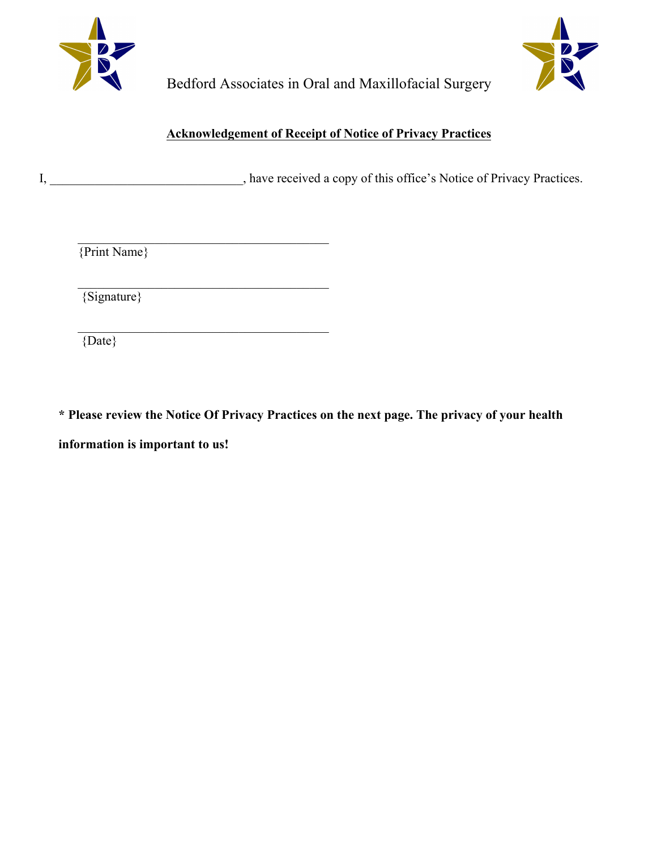



Bedford Associates in Oral and Maxillofacial Surgery

# **Acknowledgement of Receipt of Notice of Privacy Practices**

I, \_\_\_\_\_\_\_\_\_\_\_\_\_\_\_\_\_\_\_\_\_\_\_\_, have received a copy of this office's Notice of Privacy Practices.

{Print Name}

 $\mathcal{L}_\text{max}$ 

 $\mathcal{L}_\text{max}$  and  $\mathcal{L}_\text{max}$  and  $\mathcal{L}_\text{max}$  and  $\mathcal{L}_\text{max}$ 

 $\mathcal{L}_\text{max}$  and  $\mathcal{L}_\text{max}$  and  $\mathcal{L}_\text{max}$  and  $\mathcal{L}_\text{max}$ 

{Signature}

{Date}

**\* Please review the Notice Of Privacy Practices on the next page. The privacy of your health information is important to us!**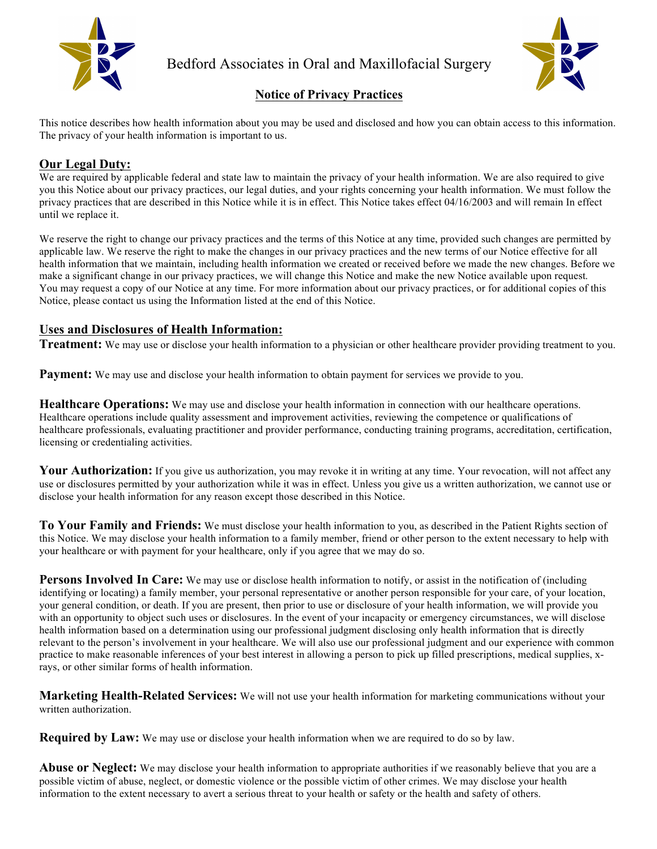

Bedford Associates in Oral and Maxillofacial Surgery



# **Notice of Privacy Practices**

This notice describes how health information about you may be used and disclosed and how you can obtain access to this information. The privacy of your health information is important to us.

# **Our Legal Duty:**

We are required by applicable federal and state law to maintain the privacy of your health information. We are also required to give you this Notice about our privacy practices, our legal duties, and your rights concerning your health information. We must follow the privacy practices that are described in this Notice while it is in effect. This Notice takes effect 04/16/2003 and will remain In effect until we replace it.

We reserve the right to change our privacy practices and the terms of this Notice at any time, provided such changes are permitted by applicable law. We reserve the right to make the changes in our privacy practices and the new terms of our Notice effective for all health information that we maintain, including health information we created or received before we made the new changes. Before we make a significant change in our privacy practices, we will change this Notice and make the new Notice available upon request. You may request a copy of our Notice at any time. For more information about our privacy practices, or for additional copies of this Notice, please contact us using the Information listed at the end of this Notice.

## **Uses and Disclosures of Health Information:**

**Treatment:** We may use or disclose your health information to a physician or other healthcare provider providing treatment to you.

**Payment:** We may use and disclose your health information to obtain payment for services we provide to you.

**Healthcare Operations:** We may use and disclose your health information in connection with our healthcare operations. Healthcare operations include quality assessment and improvement activities, reviewing the competence or qualifications of healthcare professionals, evaluating practitioner and provider performance, conducting training programs, accreditation, certification, licensing or credentialing activities.

Your Authorization: If you give us authorization, you may revoke it in writing at any time. Your revocation, will not affect any use or disclosures permitted by your authorization while it was in effect. Unless you give us a written authorization, we cannot use or disclose your health information for any reason except those described in this Notice.

**To Your Family and Friends:** We must disclose your health information to you, as described in the Patient Rights section of this Notice. We may disclose your health information to a family member, friend or other person to the extent necessary to help with your healthcare or with payment for your healthcare, only if you agree that we may do so.

**Persons Involved In Care:** We may use or disclose health information to notify, or assist in the notification of (including identifying or locating) a family member, your personal representative or another person responsible for your care, of your location, your general condition, or death. If you are present, then prior to use or disclosure of your health information, we will provide you with an opportunity to object such uses or disclosures. In the event of your incapacity or emergency circumstances, we will disclose health information based on a determination using our professional judgment disclosing only health information that is directly relevant to the person's involvement in your healthcare. We will also use our professional judgment and our experience with common practice to make reasonable inferences of your best interest in allowing a person to pick up filled prescriptions, medical supplies, xrays, or other similar forms of health information.

**Marketing Health-Related Services:** We will not use your health information for marketing communications without your written authorization.

**Required by Law:** We may use or disclose your health information when we are required to do so by law.

**Abuse or Neglect:** We may disclose your health information to appropriate authorities if we reasonably believe that you are a possible victim of abuse, neglect, or domestic violence or the possible victim of other crimes. We may disclose your health information to the extent necessary to avert a serious threat to your health or safety or the health and safety of others.